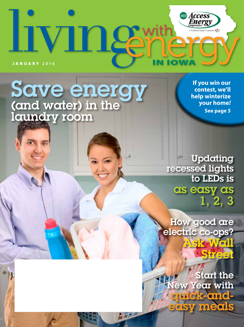

Save energy (and water) in the laundry room

**If you win our contest, we'll help winterize your home***!* **See page 5**

Updating recessed lights to LEDs is as easy as 1, 2, 3

How good are electric co-ops? Ask Wall

Street

Start the ew Year with quick-andeasy meals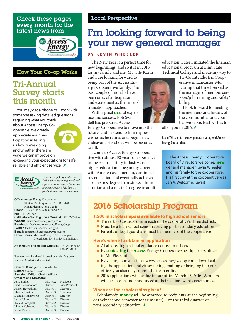#### Check these pages every month for the latest news from



### How Your Co-op Works

### Tri-Annual Survey starts this month

You may get a phone call soon with someone asking detailed questions regarding what you think

about Access Energy Cooperative. We greatly appreciate your participation in telling us how we're doing and whether there are ways we can improve on exceeding your expectations for safe, reliable and efficient service. *₹* 



*Access Energy Cooperative is dedicated to exceeding members' expectations for safe, reliable and efficient service, while being a good citizen in our communities.*

**Office:** Access Energy Cooperative 1800 W. Washington St., P.O. Box 440 Mount Pleasant, Iowa 52641 **Phone:** 319-385-1577 or 866-242-4232 **Fax:** 319-385-6873 **Call Before You Dig (Iowa One Call):** 800-292-8989 **Website:** www.accessenergycoop.com **Facebook:** facebook.com/AccessEnergyCoop **Twitter:** twitter.com/AccessEnergyC **E-mail:** contactus@accessenergycoop.com **Office Hours:** Monday-Friday, 7:30 a.m.-4 p.m. Closed Saturday, Sunday and holidays

**After Hours and Report Outages:** 319-385-1580 or 800-452-7819

Payments can be placed in dropbox under flag pole. Visa and MasterCard accepted.

| <b>General Manager:</b> Kevin Wheeler<br><b>Editor:</b> Kimberly Davis<br><b>Assistant Editor:</b> Cherity Wibben<br><b>Officers and Directors:</b> |            |                |
|-----------------------------------------------------------------------------------------------------------------------------------------------------|------------|----------------|
| Jerry Barker                                                                                                                                        | District 2 | President      |
| <b>Fred Hickenbottom</b>                                                                                                                            | District 1 | Vice President |
| Joseph Heckethorn                                                                                                                                   | District 1 | Secretary      |
| Marvin Newton                                                                                                                                       | District 3 | Treasurer      |
| David Hollingsworth                                                                                                                                 | District 1 | Director       |
| Larry White                                                                                                                                         | District 2 | Director       |
| Ronald Campbell                                                                                                                                     | District 2 | Director       |
| Marvin Holtkamp                                                                                                                                     | District 3 | Director       |
| Victor Pierrot                                                                                                                                      | District 3 | Director       |
|                                                                                                                                                     |            |                |

#### Local Perspective

# I'm looking forward to being your new general manager

#### **BY KEVIN WHEELER**

The New Year is a perfect time for new beginnings, and so it is in 2016 for my family and me. My wife Karin

and I are looking forward to being part of the Access Energy Cooperative family. The past couple of months have been ones of anticipation and excitement as the time of transition approached.

With a great **deal** of expertise and success, Bob Swindell has prepared Access

Energy Cooperative to move into the future, and I extend to him my best wishes as he retires and begins new endeavors. His shoes will be big ones to fill.

I come to Access Energy Cooperative with almost 30 years of experience in the electric utility industry and higher education. I began my career with Ameren as a lineman, continued my education and eventually achieved a bachelor's degree in business administration and a master's degree in adult

education. Later I initiated the lineman educational program at Linn State Technical College and made my way to

> Tri-County Electric Cooperative in Lancaster, Mo. During that time I served as the manager of member services/job training and safety/ billing.

I look forward to meeting the members and leaders of the communities and counties we serve. Best wishes to

all of you in 2016.

Kevin Wheeler is the new general manager of Access Energy Cooperative.

The Access Energy Cooperative Board of Directors welcomes **new** general manager Kevin Wheeler and his family to the cooperative. His first day at the cooperative was Jan 4. Welcome, Kevin!

# 2016 Scholarship Program

#### **1,500 in scholarships is available to high school seniors**

- Three \$500 awards, one in each of the cooperative's three districts
- $\blacksquare$ Must be a high school senior receiving post-secondary education
- Parents or legal guardians must be members of the cooperative П

#### **Here's where to obtain an application**

- At all area high school guidance counselor offices
- By **contacting** the **Access** Energy Cooperative headquarters office in Mt. Pleasant
- By visiting our website at www.accessenergycoop.com, downloading the application and either faxing, mailing or bringing it to our office; you also may submit the form online.
- 2016 applications will be due in our office March 15, 2016. Winners will be chosen and announced at their senior awards ceremonies.

#### **When are the scholarships given?**

Scholarship **money** will be awarded to recipients at the beginning of their second semester (or trimester) – or the third quarter of post-secondary education. *≢*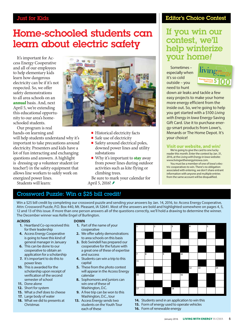### Just for Kids

# Home-schooled students can learn about electric safety

It's important for Access Energy Cooperative and all of our employees to help elementary kids learn how dangerous electricity can be if it's not respected. So, we offer safety demonstrations to all area schools on an **annual** basis. And, next April 5, we're extending this educational opportunity to our area's homeschooled students.

Our program is real hands-on learning and

will help students understand why it's important to take precautions around electricity. Presenters and kids have a lot of fun interacting and exchanging questions and answers. A highlight is dressing up a volunteer student (or teacher!) in the safety equipment that allows line workers to safely work on energized power lines.

Students will learn:



- **Historical electricity facts**
- Safe use of electricity
- Safety around electrical poles, downed power lines and utility substations
- Why it's important to **stay** away from power lines during outdoor activities such as kite flying or climbing trees.

Be sure to mark your calendar for April 5, 2016!

### Editor's Choice Contest

## If you win our contest, we'll help winterize your home*!*

Sometimes – especially when it's so cold outside – you need to hunt



down air leaks and tackle a few easy projects to make your home more energy efficient from the inside out. So, we're going to help you get started with a \$100 *Living with Energy in Iowa* Energy-Saving Gift Card. Use it to purchase energy-smart products from Lowe's, Menards or The Home Depot. It's your choice!

#### **Visit our website, and win***!*

We're going to give the card to one lucky reader this month. Enter the contest by Jan. 31, 2016, at the *Living with Energy in Iowa* website: www.livingwithenergyiniowa.com.

You must be a member of one of Iowa's electric cooperatives to win. There's no obligation associated with entering, we don't share entrant information with anyone and multiple entries from the same account will be disqualified.

#### Crossword Puzzle: Win a \$25 bill credit*!*

Win a \$25 bill credit by completing our crossword puzzle and sending your answers by Jan. 14, 2016, to: Access Energy Cooperative, Attn: Crossword Puzzle, P.O. Box 440, Mt. Pleasant, IA 52641. Most of the answers are bold and highlighted somewhere on pages 4, 5, 12 and 13 of this issue. If more than one person answers all of the questions correctly, we'll hold a drawing to determine the winner. The December winner was Kellie Engel of Burlington.

#### **ACROSS**

- **1.** Heartland Co-op received this for their leadership
- **4.** Access Energy Cooperative is going to have this kind of general manager in January
- **6.** This can be done to our cooperative to obtain an application for a scholarship
- **7.** It's important to do this to power lines
- **10.** This is awarded for the scholarship upon receipt of verification of the second semester of school
- **11.** Done alone
- **12.** Short for system
- **15.** What a chef does to cheese
- **17.** Large body of water
- **18.** What we did to presents at Christmas

#### **DOWN**

- **1.** Part of the name of your cooperative
- **2.** We offer safety demonstrations to area schools on this basis
- **3.** Bob Swindell has prepared our cooperative for the future with a great one of these of expertise and success
- **4.** Students can win a trip to this capital
- **5.** These from the photo contest will appear in the Access Energy calendar
- **8.** Sophomores and juniors can win one of these of Washington, D.C.
- **9.** A free trip can be won to this Washington, D.C., tour
- **13.** Access Energy sends two students on the Youth Tour each of these



- **14.** Students send in an application to win this
- **15.** Form of energy used to operate vehicles
- **16.** Form of renewable energy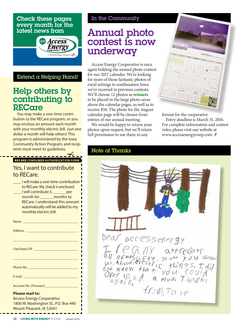#### Check these pages every month for the latest news from



#### Extend a Helping Hand*!*

## Help others by contributing to RECare

You may make a one-time contribution to the RECare program, or you may enclose an amount each month with your monthly electric bill. Just one dollar a month will help others! This program is administered by the Iowa Community Action Program, and recipients must meet its guidelines.

### **RECARE CONSUMER AUTHORIZATION FORM**

### Yes, I want to contribute to RECare.

| I will make a one-time contribution<br>to RECare. My check is enclosed.<br>____I will contribute \$ ______ per<br>month for _______ months to<br><b>RECare. I understand this amount</b><br>П<br>automatically will be added to my<br>monthly electric bill. |
|--------------------------------------------------------------------------------------------------------------------------------------------------------------------------------------------------------------------------------------------------------------|
|                                                                                                                                                                                                                                                              |
|                                                                                                                                                                                                                                                              |
|                                                                                                                                                                                                                                                              |
| the control of the control of the control of the control of the control of the control of                                                                                                                                                                    |
|                                                                                                                                                                                                                                                              |
|                                                                                                                                                                                                                                                              |
|                                                                                                                                                                                                                                                              |
| E-mail 2008 - 2008 - 2019 - 2019 - 2019 - 2019 - 2019 - 2019 - 2019 - 2019 - 2019 - 2019 - 2019 - 2019 - 2019                                                                                                                                                |
|                                                                                                                                                                                                                                                              |
|                                                                                                                                                                                                                                                              |
| <b>Please mail to:</b>                                                                                                                                                                                                                                       |
| <b>Access Energy Cooperative</b>                                                                                                                                                                                                                             |

1800 W. Washington St., P.O. Box 440 Mount Pleasant, IA 52641

#### In the Community

# Annual photo contest is now underway

Access Energy Cooperative is once again holding the annual photo contest for our 2017 calendar. We're looking for more of those fantastic photos of rural settings in southeastern Iowa we've received in previous contests. We'll choose 12 photos as **winners** to be placed in the large photo areas above the calendar pages, as well as to receive \$50. The photo for the August calendar page will be chosen from entries of our annual meeting.

We would be happy to return your photos upon request, but we'll retain full permission to use them in any



format for the cooperative. Entry deadline is March 31, 2016. For complete information and contest rules, please visit our website at www.accessenergycoop.com.